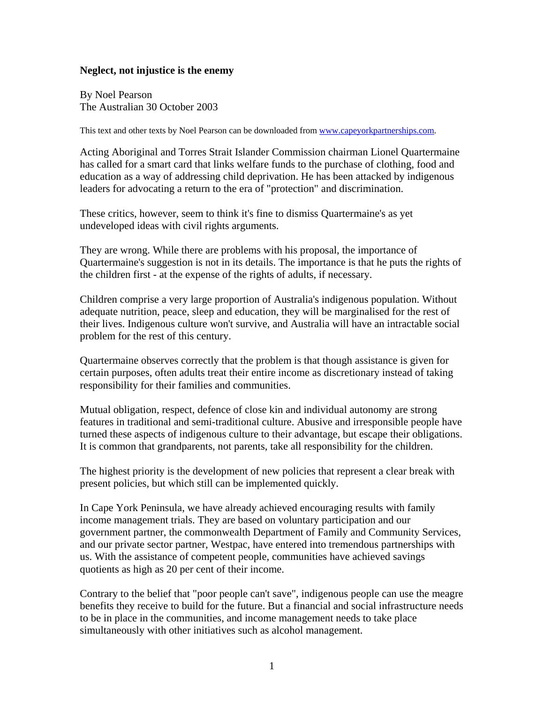## **Neglect, not injustice is the enemy**

By Noel Pearson The Australian 30 October 2003

This text and other texts by Noel Pearson can be downloaded from [www.capeyorkpartnerships.com.](http://www.capeyorkpartnerships.com/)

Acting Aboriginal and Torres Strait Islander Commission chairman Lionel Quartermaine has called for a smart card that links welfare funds to the purchase of clothing, food and education as a way of addressing child deprivation. He has been attacked by indigenous leaders for advocating a return to the era of "protection" and discrimination.

These critics, however, seem to think it's fine to dismiss Quartermaine's as yet undeveloped ideas with civil rights arguments.

They are wrong. While there are problems with his proposal, the importance of Quartermaine's suggestion is not in its details. The importance is that he puts the rights of the children first - at the expense of the rights of adults, if necessary.

Children comprise a very large proportion of Australia's indigenous population. Without adequate nutrition, peace, sleep and education, they will be marginalised for the rest of their lives. Indigenous culture won't survive, and Australia will have an intractable social problem for the rest of this century.

Quartermaine observes correctly that the problem is that though assistance is given for certain purposes, often adults treat their entire income as discretionary instead of taking responsibility for their families and communities.

Mutual obligation, respect, defence of close kin and individual autonomy are strong features in traditional and semi-traditional culture. Abusive and irresponsible people have turned these aspects of indigenous culture to their advantage, but escape their obligations. It is common that grandparents, not parents, take all responsibility for the children.

The highest priority is the development of new policies that represent a clear break with present policies, but which still can be implemented quickly.

In Cape York Peninsula, we have already achieved encouraging results with family income management trials. They are based on voluntary participation and our government partner, the commonwealth Department of Family and Community Services, and our private sector partner, Westpac, have entered into tremendous partnerships with us. With the assistance of competent people, communities have achieved savings quotients as high as 20 per cent of their income.

Contrary to the belief that "poor people can't save", indigenous people can use the meagre benefits they receive to build for the future. But a financial and social infrastructure needs to be in place in the communities, and income management needs to take place simultaneously with other initiatives such as alcohol management.